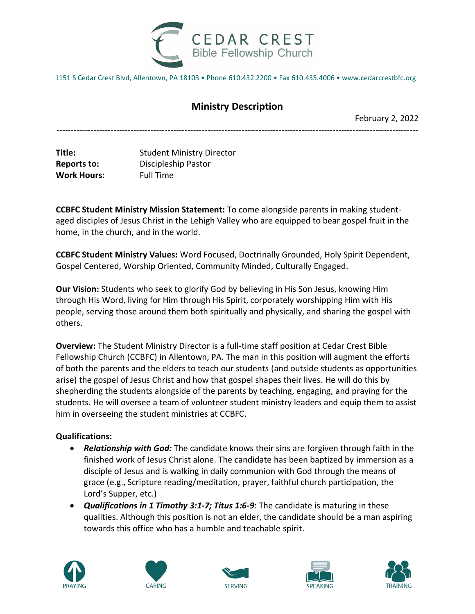

1151 S Cedar Crest Blvd, Allentown, PA 18103 • Phone 610.432.2200 • Fax 610.435.4006 • www.cedarcrestbfc.org

## **Ministry Description**

-------------------------------------------------------------------------------------------------------------------------------

February 2, 2022

**Title:** Student Ministry Director **Reports to:** Discipleship Pastor **Work Hours:** Full Time

**CCBFC Student Ministry Mission Statement:** To come alongside parents in making studentaged disciples of Jesus Christ in the Lehigh Valley who are equipped to bear gospel fruit in the home, in the church, and in the world.

**CCBFC Student Ministry Values:** Word Focused, Doctrinally Grounded, Holy Spirit Dependent, Gospel Centered, Worship Oriented, Community Minded, Culturally Engaged.

**Our Vision:** Students who seek to glorify God by believing in His Son Jesus, knowing Him through His Word, living for Him through His Spirit, corporately worshipping Him with His people, serving those around them both spiritually and physically, and sharing the gospel with others.

**Overview:** The Student Ministry Director is a full-time staff position at Cedar Crest Bible Fellowship Church (CCBFC) in Allentown, PA. The man in this position will augment the efforts of both the parents and the elders to teach our students (and outside students as opportunities arise) the gospel of Jesus Christ and how that gospel shapes their lives. He will do this by shepherding the students alongside of the parents by teaching, engaging, and praying for the students. He will oversee a team of volunteer student ministry leaders and equip them to assist him in overseeing the student ministries at CCBFC.

## **Qualifications:**

- *Relationship with God:* The candidate knows their sins are forgiven through faith in the finished work of Jesus Christ alone. The candidate has been baptized by immersion as a disciple of Jesus and is walking in daily communion with God through the means of grace (e.g., Scripture reading/meditation, prayer, faithful church participation, the Lord's Supper, etc.)
- *Qualifications in 1 Timothy 3:1-7; Titus 1:6-9*: The candidate is maturing in these qualities. Although this position is not an elder, the candidate should be a man aspiring towards this office who has a humble and teachable spirit.









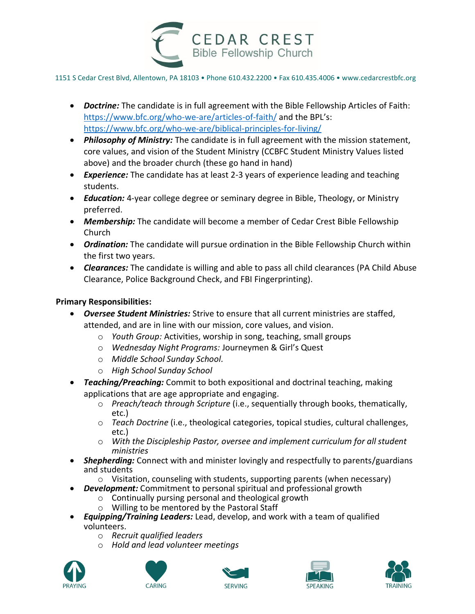

1151 S Cedar Crest Blvd, Allentown, PA 18103 • Phone 610.432.2200 • Fax 610.435.4006 • www.cedarcrestbfc.org

- *Doctrine:* The candidate is in full agreement with the Bible Fellowship Articles of Faith: <https://www.bfc.org/who-we-are/articles-of-faith/> and the BPL's: <https://www.bfc.org/who-we-are/biblical-principles-for-living/>
- *Philosophy of Ministry:* The candidate is in full agreement with the mission statement, core values, and vision of the Student Ministry (CCBFC Student Ministry Values listed above) and the broader church (these go hand in hand)
- *Experience:* The candidate has at least 2-3 years of experience leading and teaching students.
- *Education:* 4-year college degree or seminary degree in Bible, Theology, or Ministry preferred.
- *Membership:* The candidate will become a member of Cedar Crest Bible Fellowship Church
- *Ordination:* The candidate will pursue ordination in the Bible Fellowship Church within the first two years.
- *Clearances:* The candidate is willing and able to pass all child clearances (PA Child Abuse Clearance, Police Background Check, and FBI Fingerprinting).

## **Primary Responsibilities:**

- *Oversee Student Ministries:* Strive to ensure that all current ministries are staffed, attended, and are in line with our mission, core values, and vision.
	- o *Youth Group:* Activities, worship in song, teaching, small groups
	- o *Wednesday Night Programs:* Journeymen & Girl's Quest
	- o *Middle School Sunday School.*
	- o *High School Sunday School*
- *Teaching/Preaching:* Commit to both expositional and doctrinal teaching, making applications that are age appropriate and engaging.
	- o *Preach/teach through Scripture* (i.e., sequentially through books, thematically, etc.)
	- o *Teach Doctrine* (i.e., theological categories, topical studies, cultural challenges, etc.)
	- o *With the Discipleship Pastor, oversee and implement curriculum for all student ministries*
- *Shepherding:* Connect with and minister lovingly and respectfully to parents/guardians and students
	- o Visitation, counseling with students, supporting parents (when necessary)
- *Development:* Commitment to personal spiritual and professional growth
	- o Continually pursing personal and theological growth
	- o Willing to be mentored by the Pastoral Staff
- *Equipping/Training Leaders:* Lead, develop, and work with a team of qualified volunteers.
	- o *Recruit qualified leaders*
	- o *Hold and lead volunteer meetings*